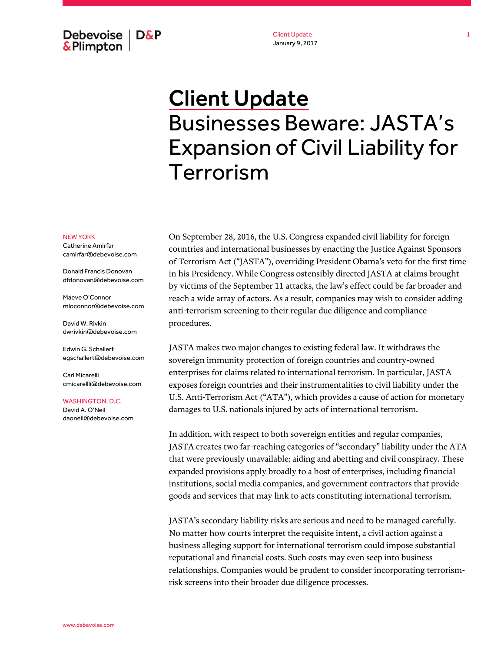Debevoise  $\overline{ }$  D&P **&Plimpton** 

Client Update January 9, 2017

# Client Update Businesses Beware: JASTA's Expansion of Civil Liability for Terrorism

### NEW YORK

Catherine Amirfar camirfar@debevoise.com

Donald Francis Donovan dfdonovan@debevoise.com

Maeve O'Connor mloconnor@debevoise.com

David W. Rivkin dwrivkin@debevoise.com

Edwin G. Schallert egschallert@debevoise.com

Carl Micarelli cmicarellli@debevoise.com

#### WASHINGTON, D.C.

David A. O'Neil daoneil@debevoise.com On September 28, 2016, the U.S. Congress expanded civil liability for foreign countries and international businesses by enacting the Justice Against Sponsors of Terrorism Act ("JASTA"), overriding President Obama's veto for the first time in his Presidency. While Congress ostensibly directed JASTA at claims brought by victims of the September 11 attacks, the law's effect could be far broader and reach a wide array of actors. As a result, companies may wish to consider adding anti-terrorism screening to their regular due diligence and compliance procedures.

JASTA makes two major changes to existing federal law. It withdraws the sovereign immunity protection of foreign countries and country-owned enterprises for claims related to international terrorism. In particular, JASTA exposes foreign countries and their instrumentalities to civil liability under the U.S. Anti-Terrorism Act ("ATA"), which provides a cause of action for monetary damages to U.S. nationals injured by acts of international terrorism.

In addition, with respect to both sovereign entities and regular companies, JASTA creates two far-reaching categories of "secondary" liability under the ATA that were previously unavailable: aiding and abetting and civil conspiracy. These expanded provisions apply broadly to a host of enterprises, including financial institutions, social media companies, and government contractors that provide goods and services that may link to acts constituting international terrorism.

JASTA's secondary liability risks are serious and need to be managed carefully. No matter how courts interpret the requisite intent, a civil action against a business alleging support for international terrorism could impose substantial reputational and financial costs. Such costs may even seep into business relationships. Companies would be prudent to consider incorporating terrorismrisk screens into their broader due diligence processes.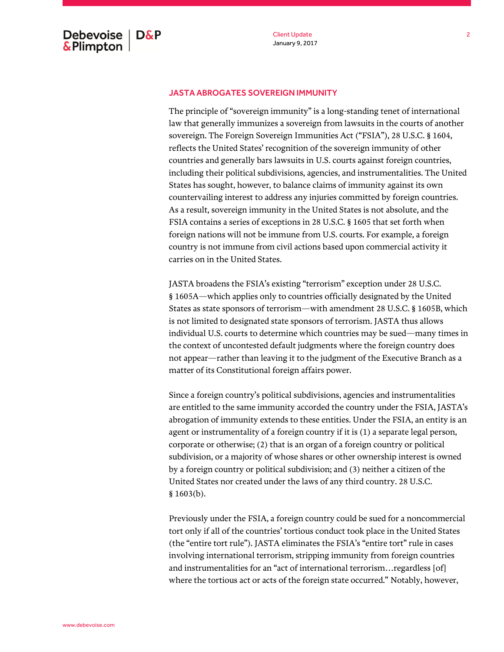## JASTA ABROGATES SOVEREIGN IMMUNITY

The principle of "sovereign immunity" is a long-standing tenet of international law that generally immunizes a sovereign from lawsuits in the courts of another sovereign. The Foreign Sovereign Immunities Act ("FSIA"), 28 U.S.C. § 1604, reflects the United States' recognition of the sovereign immunity of other countries and generally bars lawsuits in U.S. courts against foreign countries, including their political subdivisions, agencies, and instrumentalities. The United States has sought, however, to balance claims of immunity against its own countervailing interest to address any injuries committed by foreign countries. As a result, sovereign immunity in the United States is not absolute, and the FSIA contains a series of exceptions in 28 U.S.C. § 1605 that set forth when foreign nations will not be immune from U.S. courts. For example, a foreign country is not immune from civil actions based upon commercial activity it carries on in the United States.

JASTA broadens the FSIA's existing "terrorism" exception under 28 U.S.C. § 1605A—which applies only to countries officially designated by the United States as state sponsors of terrorism—with amendment 28 U.S.C. § 1605B, which is not limited to designated state sponsors of terrorism. JASTA thus allows individual U.S. courts to determine which countries may be sued—many times in the context of uncontested default judgments where the foreign country does not appear—rather than leaving it to the judgment of the Executive Branch as a matter of its Constitutional foreign affairs power.

Since a foreign country's political subdivisions, agencies and instrumentalities are entitled to the same immunity accorded the country under the FSIA, JASTA's abrogation of immunity extends to these entities. Under the FSIA, an entity is an agent or instrumentality of a foreign country if it is (1) a separate legal person, corporate or otherwise; (2) that is an organ of a foreign country or political subdivision, or a majority of whose shares or other ownership interest is owned by a foreign country or political subdivision; and (3) neither a citizen of the United States nor created under the laws of any third country. 28 U.S.C. § 1603(b).

Previously under the FSIA, a foreign country could be sued for a noncommercial tort only if all of the countries' tortious conduct took place in the United States (the "entire tort rule"). JASTA eliminates the FSIA's "entire tort" rule in cases involving international terrorism, stripping immunity from foreign countries and instrumentalities for an "act of international terrorism…regardless [of] where the tortious act or acts of the foreign state occurred." Notably, however,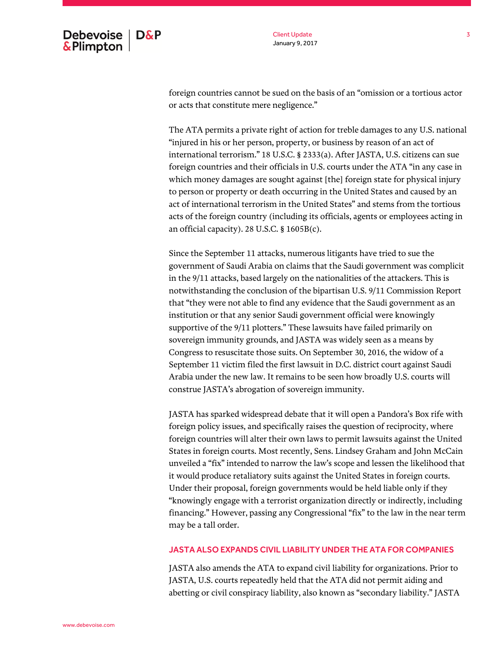Client Update January 9, 2017

foreign countries cannot be sued on the basis of an "omission or a tortious actor or acts that constitute mere negligence."

The ATA permits a private right of action for treble damages to any U.S. national "injured in his or her person, property, or business by reason of an act of international terrorism." 18 U.S.C. § 2333(a). After JASTA, U.S. citizens can sue foreign countries and their officials in U.S. courts under the ATA "in any case in which money damages are sought against [the] foreign state for physical injury to person or property or death occurring in the United States and caused by an act of international terrorism in the United States" and stems from the tortious acts of the foreign country (including its officials, agents or employees acting in an official capacity). 28 U.S.C. § 1605B(c).

Since the September 11 attacks, numerous litigants have tried to sue the government of Saudi Arabia on claims that the Saudi government was complicit in the 9/11 attacks, based largely on the nationalities of the attackers. This is notwithstanding the conclusion of the bipartisan U.S. 9/11 Commission Report that "they were not able to find any evidence that the Saudi government as an institution or that any senior Saudi government official were knowingly supportive of the 9/11 plotters." These lawsuits have failed primarily on sovereign immunity grounds, and JASTA was widely seen as a means by Congress to resuscitate those suits. On September 30, 2016, the widow of a September 11 victim filed the first lawsuit in D.C. district court against Saudi Arabia under the new law. It remains to be seen how broadly U.S. courts will construe JASTA's abrogation of sovereign immunity.

JASTA has sparked widespread debate that it will open a Pandora's Box rife with foreign policy issues, and specifically raises the question of reciprocity, where foreign countries will alter their own laws to permit lawsuits against the United States in foreign courts. Most recently, Sens. Lindsey Graham and John McCain unveiled a "fix" intended to narrow the law's scope and lessen the likelihood that it would produce retaliatory suits against the United States in foreign courts. Under their proposal, foreign governments would be held liable only if they "knowingly engage with a terrorist organization directly or indirectly, including financing." However, passing any Congressional "fix" to the law in the near term may be a tall order.

## JASTA ALSO EXPANDS CIVIL LIABILITY UNDER THE ATA FOR COMPANIES

JASTA also amends the ATA to expand civil liability for organizations. Prior to JASTA, U.S. courts repeatedly held that the ATA did not permit aiding and abetting or civil conspiracy liability, also known as "secondary liability." JASTA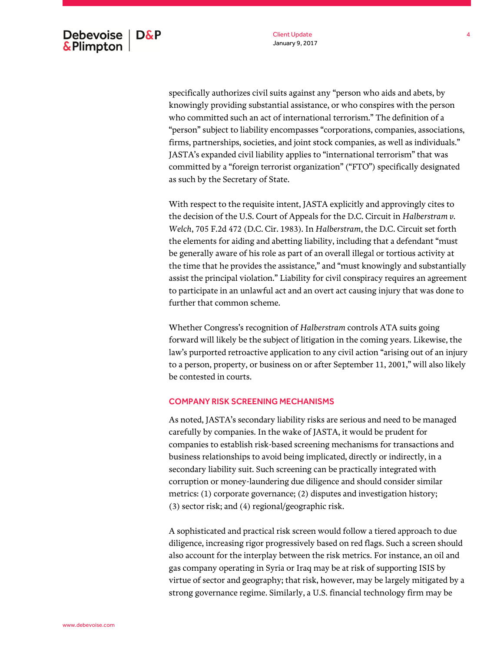specifically authorizes civil suits against any "person who aids and abets, by knowingly providing substantial assistance, or who conspires with the person who committed such an act of international terrorism." The definition of a "person" subject to liability encompasses "corporations, companies, associations, firms, partnerships, societies, and joint stock companies, as well as individuals." JASTA's expanded civil liability applies to "international terrorism" that was committed by a "foreign terrorist organization" ("FTO") specifically designated as such by the Secretary of State.

With respect to the requisite intent, JASTA explicitly and approvingly cites to the decision of the U.S. Court of Appeals for the D.C. Circuit in *Halberstram v. Welch*, 705 F.2d 472 (D.C. Cir. 1983). In *Halberstram*, the D.C. Circuit set forth the elements for aiding and abetting liability, including that a defendant "must be generally aware of his role as part of an overall illegal or tortious activity at the time that he provides the assistance," and "must knowingly and substantially assist the principal violation." Liability for civil conspiracy requires an agreement to participate in an unlawful act and an overt act causing injury that was done to further that common scheme.

Whether Congress's recognition of *Halberstram* controls ATA suits going forward will likely be the subject of litigation in the coming years. Likewise, the law's purported retroactive application to any civil action "arising out of an injury to a person, property, or business on or after September 11, 2001," will also likely be contested in courts.

# COMPANY RISK SCREENING MECHANISMS

As noted, JASTA's secondary liability risks are serious and need to be managed carefully by companies. In the wake of JASTA, it would be prudent for companies to establish risk-based screening mechanisms for transactions and business relationships to avoid being implicated, directly or indirectly, in a secondary liability suit. Such screening can be practically integrated with corruption or money-laundering due diligence and should consider similar metrics: (1) corporate governance; (2) disputes and investigation history; (3) sector risk; and (4) regional/geographic risk.

A sophisticated and practical risk screen would follow a tiered approach to due diligence, increasing rigor progressively based on red flags. Such a screen should also account for the interplay between the risk metrics. For instance, an oil and gas company operating in Syria or Iraq may be at risk of supporting ISIS by virtue of sector and geography; that risk, however, may be largely mitigated by a strong governance regime. Similarly, a U.S. financial technology firm may be